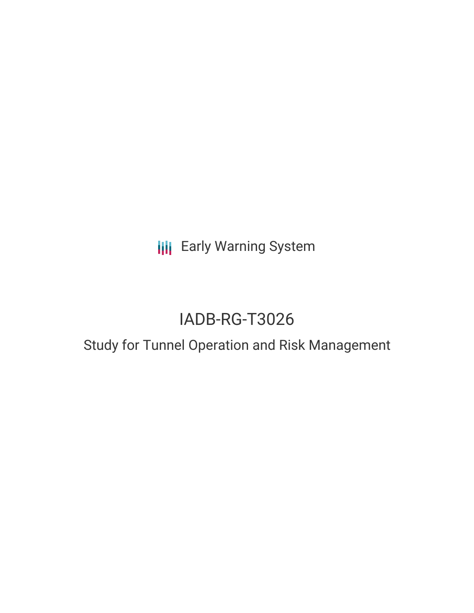**III** Early Warning System

# IADB-RG-T3026

# Study for Tunnel Operation and Risk Management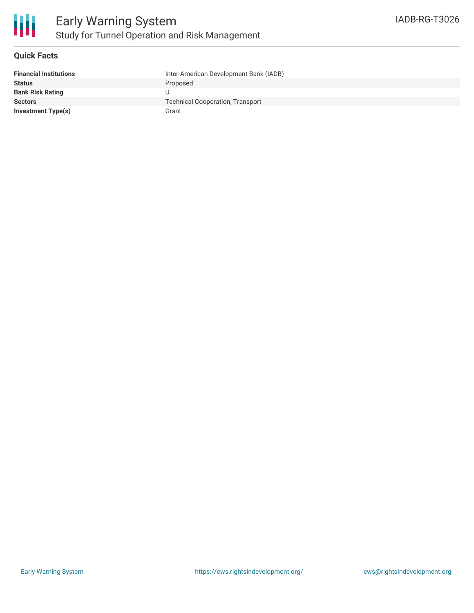

#### **Quick Facts**

| <b>Financial Institutions</b> | Inter-American Development Bank (IADB)  |
|-------------------------------|-----------------------------------------|
| <b>Status</b>                 | Proposed                                |
| <b>Bank Risk Rating</b>       |                                         |
| <b>Sectors</b>                | <b>Technical Cooperation, Transport</b> |
| Investment Type(s)            | Grant                                   |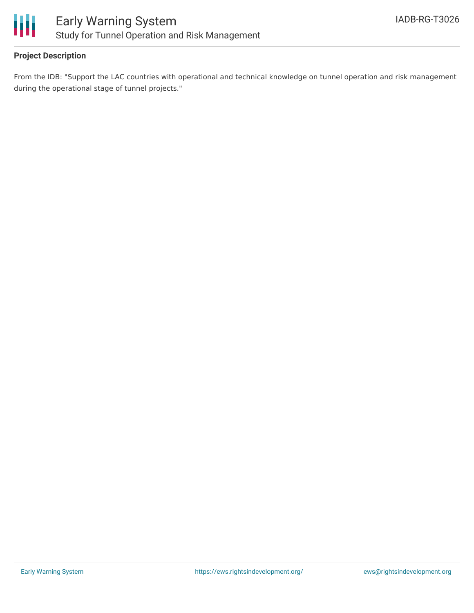

## **Project Description**

From the IDB: "Support the LAC countries with operational and technical knowledge on tunnel operation and risk management during the operational stage of tunnel projects."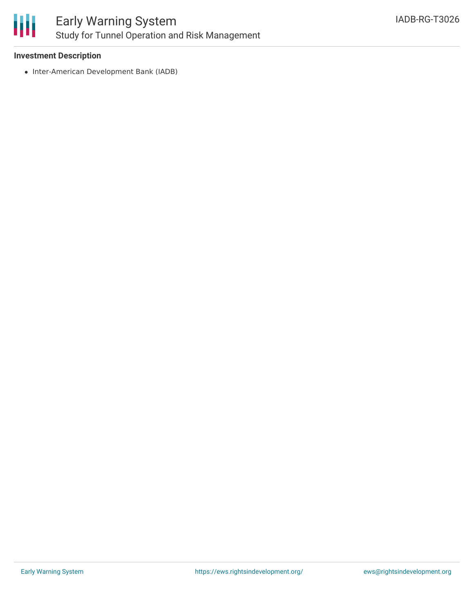

#### **Investment Description**

• Inter-American Development Bank (IADB)